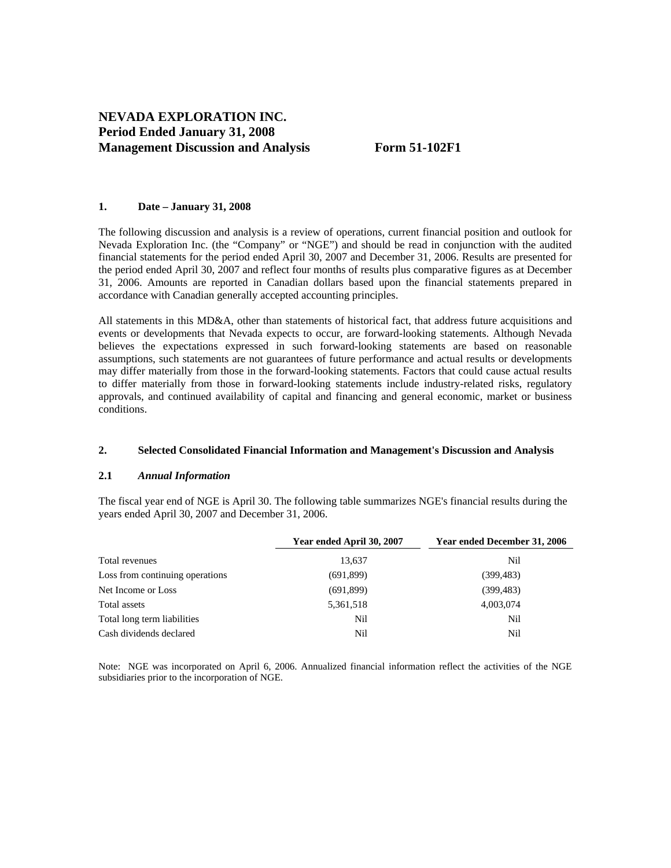#### **1. Date – January 31, 2008**

The following discussion and analysis is a review of operations, current financial position and outlook for Nevada Exploration Inc. (the "Company" or "NGE") and should be read in conjunction with the audited financial statements for the period ended April 30, 2007 and December 31, 2006. Results are presented for the period ended April 30, 2007 and reflect four months of results plus comparative figures as at December 31, 2006. Amounts are reported in Canadian dollars based upon the financial statements prepared in accordance with Canadian generally accepted accounting principles.

All statements in this MD&A, other than statements of historical fact, that address future acquisitions and events or developments that Nevada expects to occur, are forward-looking statements. Although Nevada believes the expectations expressed in such forward-looking statements are based on reasonable assumptions, such statements are not guarantees of future performance and actual results or developments may differ materially from those in the forward-looking statements. Factors that could cause actual results to differ materially from those in forward-looking statements include industry-related risks, regulatory approvals, and continued availability of capital and financing and general economic, market or business conditions.

## **2. Selected Consolidated Financial Information and Management's Discussion and Analysis**

#### **2.1** *Annual Information*

The fiscal year end of NGE is April 30. The following table summarizes NGE's financial results during the years ended April 30, 2007 and December 31, 2006.

|                                 | Year ended April 30, 2007 | Year ended December 31, 2006 |
|---------------------------------|---------------------------|------------------------------|
| Total revenues                  | 13,637                    | Nil                          |
| Loss from continuing operations | (691,899)                 | (399, 483)                   |
| Net Income or Loss              | (691,899)                 | (399, 483)                   |
| Total assets                    | 5,361,518                 | 4,003,074                    |
| Total long term liabilities     | Nil                       | Nil                          |
| Cash dividends declared         | Nil                       | Nil                          |

Note: NGE was incorporated on April 6, 2006. Annualized financial information reflect the activities of the NGE subsidiaries prior to the incorporation of NGE.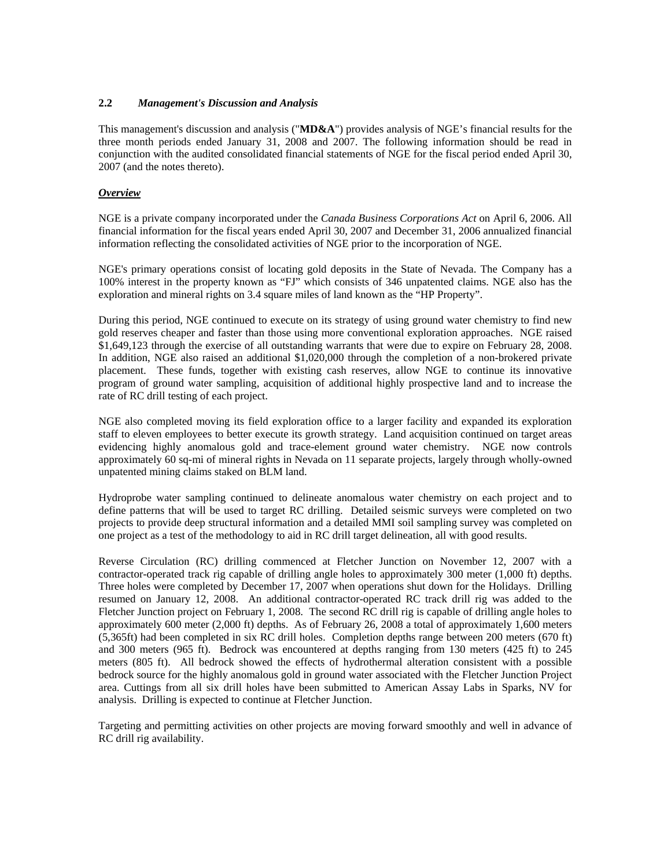# **2.2** *Management's Discussion and Analysis*

This management's discussion and analysis ("**MD&A**") provides analysis of NGE's financial results for the three month periods ended January 31, 2008 and 2007. The following information should be read in conjunction with the audited consolidated financial statements of NGE for the fiscal period ended April 30, 2007 (and the notes thereto).

## *Overview*

NGE is a private company incorporated under the *Canada Business Corporations Act* on April 6, 2006. All financial information for the fiscal years ended April 30, 2007 and December 31, 2006 annualized financial information reflecting the consolidated activities of NGE prior to the incorporation of NGE.

NGE's primary operations consist of locating gold deposits in the State of Nevada. The Company has a 100% interest in the property known as "FJ" which consists of 346 unpatented claims. NGE also has the exploration and mineral rights on 3.4 square miles of land known as the "HP Property".

During this period, NGE continued to execute on its strategy of using ground water chemistry to find new gold reserves cheaper and faster than those using more conventional exploration approaches. NGE raised \$1,649,123 through the exercise of all outstanding warrants that were due to expire on February 28, 2008. In addition, NGE also raised an additional \$1,020,000 through the completion of a non-brokered private placement. These funds, together with existing cash reserves, allow NGE to continue its innovative program of ground water sampling, acquisition of additional highly prospective land and to increase the rate of RC drill testing of each project.

NGE also completed moving its field exploration office to a larger facility and expanded its exploration staff to eleven employees to better execute its growth strategy. Land acquisition continued on target areas evidencing highly anomalous gold and trace-element ground water chemistry. NGE now controls approximately 60 sq-mi of mineral rights in Nevada on 11 separate projects, largely through wholly-owned unpatented mining claims staked on BLM land.

Hydroprobe water sampling continued to delineate anomalous water chemistry on each project and to define patterns that will be used to target RC drilling. Detailed seismic surveys were completed on two projects to provide deep structural information and a detailed MMI soil sampling survey was completed on one project as a test of the methodology to aid in RC drill target delineation, all with good results.

Reverse Circulation (RC) drilling commenced at Fletcher Junction on November 12, 2007 with a contractor-operated track rig capable of drilling angle holes to approximately 300 meter (1,000 ft) depths. Three holes were completed by December 17, 2007 when operations shut down for the Holidays. Drilling resumed on January 12, 2008. An additional contractor-operated RC track drill rig was added to the Fletcher Junction project on February 1, 2008. The second RC drill rig is capable of drilling angle holes to approximately 600 meter (2,000 ft) depths. As of February 26, 2008 a total of approximately 1,600 meters (5,365ft) had been completed in six RC drill holes. Completion depths range between 200 meters (670 ft) and 300 meters (965 ft). Bedrock was encountered at depths ranging from 130 meters (425 ft) to 245 meters (805 ft). All bedrock showed the effects of hydrothermal alteration consistent with a possible bedrock source for the highly anomalous gold in ground water associated with the Fletcher Junction Project area. Cuttings from all six drill holes have been submitted to American Assay Labs in Sparks, NV for analysis. Drilling is expected to continue at Fletcher Junction.

Targeting and permitting activities on other projects are moving forward smoothly and well in advance of RC drill rig availability.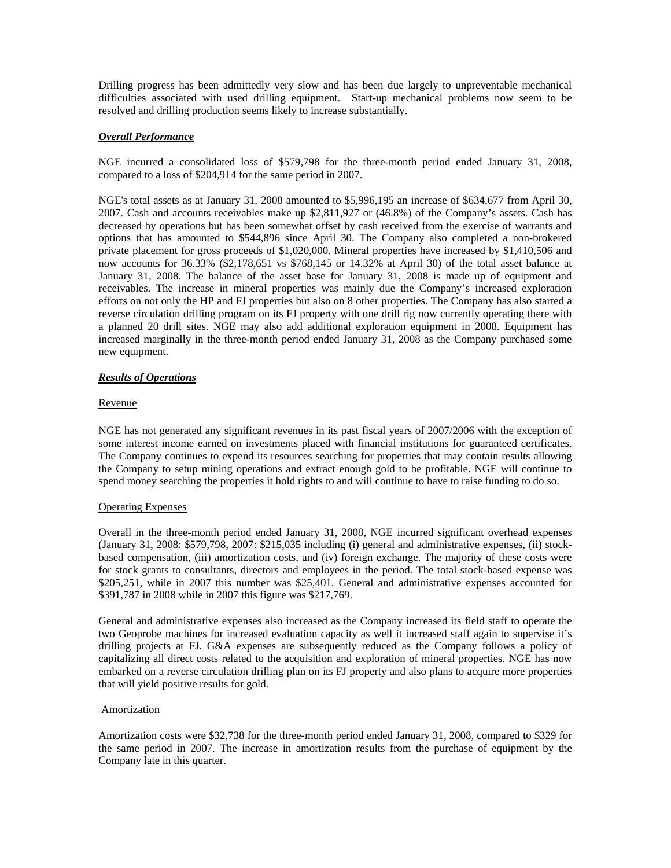Drilling progress has been admittedly very slow and has been due largely to unpreventable mechanical difficulties associated with used drilling equipment. Start-up mechanical problems now seem to be resolved and drilling production seems likely to increase substantially.

## *Overall Performance*

NGE incurred a consolidated loss of \$579,798 for the three-month period ended January 31, 2008, compared to a loss of \$204,914 for the same period in 2007.

NGE's total assets as at January 31, 2008 amounted to \$5,996,195 an increase of \$634,677 from April 30, 2007. Cash and accounts receivables make up \$2,811,927 or (46.8%) of the Company's assets. Cash has decreased by operations but has been somewhat offset by cash received from the exercise of warrants and options that has amounted to \$544,896 since April 30. The Company also completed a non-brokered private placement for gross proceeds of \$1,020,000. Mineral properties have increased by \$1,410,506 and now accounts for 36.33% (\$2,178,651 vs \$768,145 or 14.32% at April 30) of the total asset balance at January 31, 2008. The balance of the asset base for January 31, 2008 is made up of equipment and receivables. The increase in mineral properties was mainly due the Company's increased exploration efforts on not only the HP and FJ properties but also on 8 other properties. The Company has also started a reverse circulation drilling program on its FJ property with one drill rig now currently operating there with a planned 20 drill sites. NGE may also add additional exploration equipment in 2008. Equipment has increased marginally in the three-month period ended January 31, 2008 as the Company purchased some new equipment.

## *Results of Operations*

## Revenue

NGE has not generated any significant revenues in its past fiscal years of 2007/2006 with the exception of some interest income earned on investments placed with financial institutions for guaranteed certificates. The Company continues to expend its resources searching for properties that may contain results allowing the Company to setup mining operations and extract enough gold to be profitable. NGE will continue to spend money searching the properties it hold rights to and will continue to have to raise funding to do so.

## Operating Expenses

Overall in the three-month period ended January 31, 2008, NGE incurred significant overhead expenses (January 31, 2008: \$579,798, 2007: \$215,035 including (i) general and administrative expenses, (ii) stockbased compensation, (iii) amortization costs, and (iv) foreign exchange. The majority of these costs were for stock grants to consultants, directors and employees in the period. The total stock-based expense was \$205,251, while in 2007 this number was \$25,401. General and administrative expenses accounted for \$391,787 in 2008 while in 2007 this figure was \$217,769.

General and administrative expenses also increased as the Company increased its field staff to operate the two Geoprobe machines for increased evaluation capacity as well it increased staff again to supervise it's drilling projects at FJ. G&A expenses are subsequently reduced as the Company follows a policy of capitalizing all direct costs related to the acquisition and exploration of mineral properties. NGE has now embarked on a reverse circulation drilling plan on its FJ property and also plans to acquire more properties that will yield positive results for gold.

## Amortization

Amortization costs were \$32,738 for the three-month period ended January 31, 2008, compared to \$329 for the same period in 2007. The increase in amortization results from the purchase of equipment by the Company late in this quarter.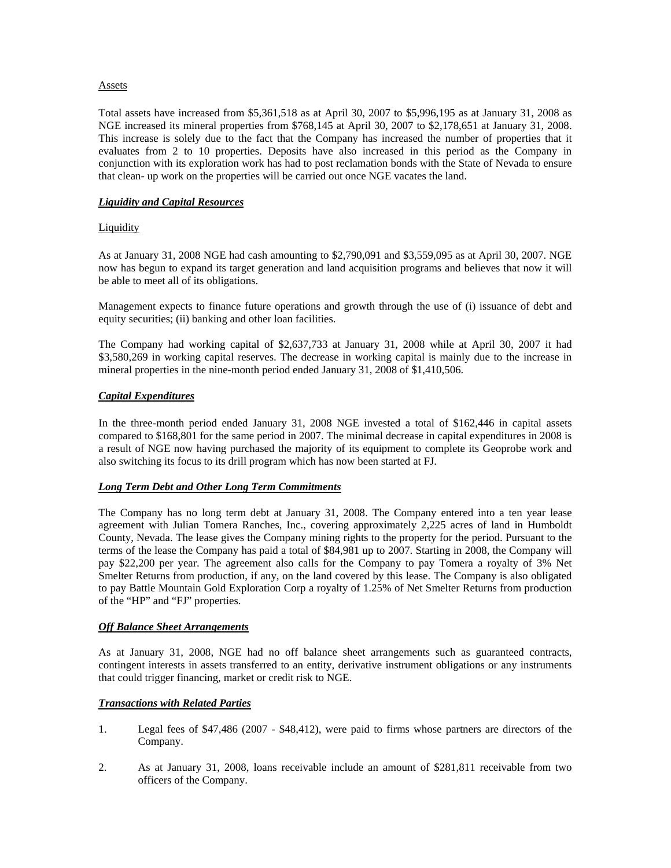## **Assets**

Total assets have increased from \$5,361,518 as at April 30, 2007 to \$5,996,195 as at January 31, 2008 as NGE increased its mineral properties from \$768,145 at April 30, 2007 to \$2,178,651 at January 31, 2008. This increase is solely due to the fact that the Company has increased the number of properties that it evaluates from 2 to 10 properties. Deposits have also increased in this period as the Company in conjunction with its exploration work has had to post reclamation bonds with the State of Nevada to ensure that clean- up work on the properties will be carried out once NGE vacates the land.

## *Liquidity and Capital Resources*

## **Liquidity**

As at January 31, 2008 NGE had cash amounting to \$2,790,091 and \$3,559,095 as at April 30, 2007. NGE now has begun to expand its target generation and land acquisition programs and believes that now it will be able to meet all of its obligations.

Management expects to finance future operations and growth through the use of (i) issuance of debt and equity securities; (ii) banking and other loan facilities.

The Company had working capital of \$2,637,733 at January 31, 2008 while at April 30, 2007 it had \$3,580,269 in working capital reserves. The decrease in working capital is mainly due to the increase in mineral properties in the nine-month period ended January 31, 2008 of \$1,410,506.

## *Capital Expenditures*

In the three-month period ended January 31, 2008 NGE invested a total of \$162,446 in capital assets compared to \$168,801 for the same period in 2007. The minimal decrease in capital expenditures in 2008 is a result of NGE now having purchased the majority of its equipment to complete its Geoprobe work and also switching its focus to its drill program which has now been started at FJ.

## *Long Term Debt and Other Long Term Commitments*

The Company has no long term debt at January 31, 2008. The Company entered into a ten year lease agreement with Julian Tomera Ranches, Inc., covering approximately 2,225 acres of land in Humboldt County, Nevada. The lease gives the Company mining rights to the property for the period. Pursuant to the terms of the lease the Company has paid a total of \$84,981 up to 2007. Starting in 2008, the Company will pay \$22,200 per year. The agreement also calls for the Company to pay Tomera a royalty of 3% Net Smelter Returns from production, if any, on the land covered by this lease. The Company is also obligated to pay Battle Mountain Gold Exploration Corp a royalty of 1.25% of Net Smelter Returns from production of the "HP" and "FJ" properties.

## *Off Balance Sheet Arrangements*

As at January 31, 2008, NGE had no off balance sheet arrangements such as guaranteed contracts, contingent interests in assets transferred to an entity, derivative instrument obligations or any instruments that could trigger financing, market or credit risk to NGE.

# *Transactions with Related Parties*

- 1. Legal fees of \$47,486 (2007 \$48,412), were paid to firms whose partners are directors of the Company.
- 2. As at January 31, 2008, loans receivable include an amount of \$281,811 receivable from two officers of the Company.